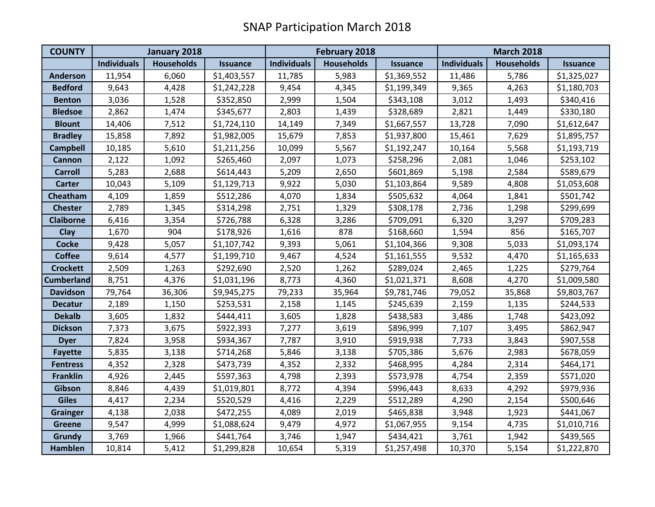| <b>COUNTY</b>     | January 2018       |                   |             | <b>February 2018</b> |                   |                 | <b>March 2018</b>  |                   |                 |
|-------------------|--------------------|-------------------|-------------|----------------------|-------------------|-----------------|--------------------|-------------------|-----------------|
|                   | <b>Individuals</b> | <b>Households</b> | Issuance    | <b>Individuals</b>   | <b>Households</b> | <b>Issuance</b> | <b>Individuals</b> | <b>Households</b> | <b>Issuance</b> |
| <b>Anderson</b>   | 11,954             | 6,060             | \$1,403,557 | 11,785               | 5,983             | \$1,369,552     | 11,486             | 5,786             | \$1,325,027     |
| <b>Bedford</b>    | 9,643              | 4,428             | \$1,242,228 | 9,454                | 4,345             | \$1,199,349     | 9,365              | 4,263             | \$1,180,703     |
| <b>Benton</b>     | 3,036              | 1,528             | \$352,850   | 2,999                | 1,504             | \$343,108       | 3,012              | 1,493             | \$340,416       |
| <b>Bledsoe</b>    | 2,862              | 1,474             | \$345,677   | 2,803                | 1,439             | \$328,689       | 2,821              | 1,449             | \$330,180       |
| <b>Blount</b>     | 14,406             | 7,512             | \$1,724,110 | 14,149               | 7,349             | \$1,667,557     | 13,728             | 7,090             | \$1,612,647     |
| <b>Bradley</b>    | 15,858             | 7,892             | \$1,982,005 | 15,679               | 7,853             | \$1,937,800     | 15,461             | 7,629             | \$1,895,757     |
| <b>Campbell</b>   | 10,185             | 5,610             | \$1,211,256 | 10,099               | 5,567             | \$1,192,247     | 10,164             | 5,568             | \$1,193,719     |
| <b>Cannon</b>     | 2,122              | 1,092             | \$265,460   | 2,097                | 1,073             | \$258,296       | 2,081              | 1,046             | \$253,102       |
| <b>Carroll</b>    | 5,283              | 2,688             | \$614,443   | 5,209                | 2,650             | \$601,869       | 5,198              | 2,584             | \$589,679       |
| <b>Carter</b>     | 10,043             | 5,109             | \$1,129,713 | 9,922                | 5,030             | \$1,103,864     | 9,589              | 4,808             | \$1,053,608     |
| Cheatham          | 4,109              | 1,859             | \$512,286   | 4,070                | 1,834             | \$505,632       | 4,064              | 1,841             | \$501,742       |
| <b>Chester</b>    | 2,789              | 1,345             | \$314,298   | 2,751                | 1,329             | \$308,178       | 2,736              | 1,298             | \$299,699       |
| <b>Claiborne</b>  | 6,416              | 3,354             | \$726,788   | 6,328                | 3,286             | \$709,091       | 6,320              | 3,297             | \$709,283       |
| Clay              | 1,670              | 904               | \$178,926   | 1,616                | 878               | \$168,660       | 1,594              | 856               | \$165,707       |
| <b>Cocke</b>      | 9,428              | 5,057             | \$1,107,742 | 9,393                | 5,061             | \$1,104,366     | 9,308              | 5,033             | \$1,093,174     |
| <b>Coffee</b>     | 9,614              | 4,577             | \$1,199,710 | 9,467                | 4,524             | \$1,161,555     | 9,532              | 4,470             | \$1,165,633     |
| <b>Crockett</b>   | 2,509              | 1,263             | \$292,690   | 2,520                | 1,262             | \$289,024       | 2,465              | 1,225             | \$279,764       |
| <b>Cumberland</b> | 8,751              | 4,376             | \$1,031,196 | 8,773                | 4,360             | \$1,021,371     | 8,608              | 4,270             | \$1,009,580     |
| <b>Davidson</b>   | 79,764             | 36,306            | \$9,945,275 | 79,233               | 35,964            | \$9,781,746     | 79,052             | 35,868            | \$9,803,767     |
| <b>Decatur</b>    | 2,189              | 1,150             | \$253,531   | 2,158                | 1,145             | \$245,639       | 2,159              | 1,135             | \$244,533       |
| <b>Dekalb</b>     | 3,605              | 1,832             | \$444,411   | 3,605                | 1,828             | \$438,583       | 3,486              | 1,748             | \$423,092       |
| <b>Dickson</b>    | 7,373              | 3,675             | \$922,393   | 7,277                | 3,619             | \$896,999       | 7,107              | 3,495             | \$862,947       |
| <b>Dyer</b>       | 7,824              | 3,958             | \$934,367   | 7,787                | 3,910             | \$919,938       | 7,733              | 3,843             | \$907,558       |
| <b>Fayette</b>    | 5,835              | 3,138             | \$714,268   | 5,846                | 3,138             | \$705,386       | 5,676              | 2,983             | \$678,059       |
| <b>Fentress</b>   | 4,352              | 2,328             | \$473,739   | 4,352                | 2,332             | \$468,995       | 4,284              | 2,314             | \$464,171       |
| <b>Franklin</b>   | 4,926              | 2,445             | \$597,363   | 4,798                | 2,393             | \$573,978       | 4,754              | 2,359             | \$571,020       |
| Gibson            | 8,846              | 4,439             | \$1,019,801 | 8,772                | 4,394             | \$996,443       | 8,633              | 4,292             | \$979,936       |
| <b>Giles</b>      | 4,417              | 2,234             | \$520,529   | 4,416                | 2,229             | \$512,289       | 4,290              | 2,154             | \$500,646       |
| <b>Grainger</b>   | 4,138              | 2,038             | \$472,255   | 4,089                | 2,019             | \$465,838       | 3,948              | 1,923             | \$441,067       |
| <b>Greene</b>     | 9,547              | 4,999             | \$1,088,624 | 9,479                | 4,972             | \$1,067,955     | 9,154              | 4,735             | \$1,010,716     |
| Grundy            | 3,769              | 1,966             | \$441,764   | 3,746                | 1,947             | \$434,421       | 3,761              | 1,942             | \$439,565       |
| <b>Hamblen</b>    | 10,814             | 5,412             | \$1,299,828 | 10,654               | 5,319             | \$1,257,498     | 10,370             | 5,154             | \$1,222,870     |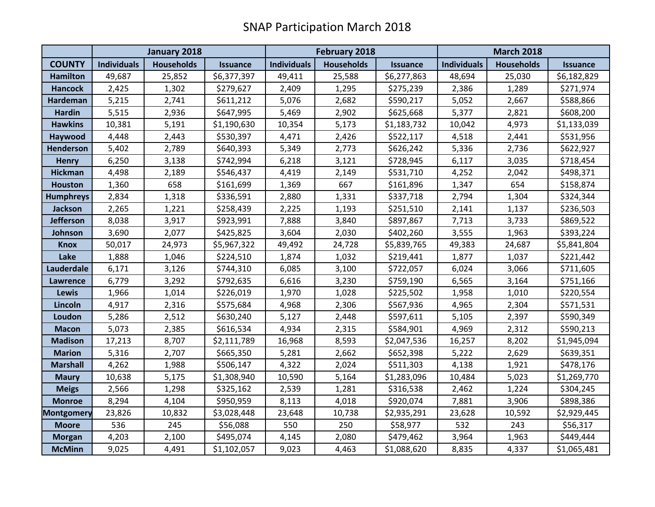|                   | January 2018       |                   |                 | <b>February 2018</b> |                   |                 | <b>March 2018</b>  |                   |                 |
|-------------------|--------------------|-------------------|-----------------|----------------------|-------------------|-----------------|--------------------|-------------------|-----------------|
| <b>COUNTY</b>     | <b>Individuals</b> | <b>Households</b> | <b>Issuance</b> | <b>Individuals</b>   | <b>Households</b> | <b>Issuance</b> | <b>Individuals</b> | <b>Households</b> | <b>Issuance</b> |
| <b>Hamilton</b>   | 49,687             | 25,852            | \$6,377,397     | 49,411               | 25,588            | \$6,277,863     | 48,694             | 25,030            | \$6,182,829     |
| <b>Hancock</b>    | 2,425              | 1,302             | \$279,627       | 2,409                | 1,295             | \$275,239       | 2,386              | 1,289             | \$271,974       |
| Hardeman          | 5,215              | 2,741             | \$611,212       | 5,076                | 2,682             | \$590,217       | 5,052              | 2,667             | \$588,866       |
| <b>Hardin</b>     | 5,515              | 2,936             | \$647,995       | 5,469                | 2,902             | \$625,668       | 5,377              | 2,821             | \$608,200       |
| <b>Hawkins</b>    | 10,381             | 5,191             | \$1,190,630     | 10,354               | 5,173             | \$1,183,732     | 10,042             | 4,973             | \$1,133,039     |
| Haywood           | 4,448              | 2,443             | \$530,397       | 4,471                | 2,426             | \$522,117       | 4,518              | 2,441             | \$531,956       |
| Henderson         | 5,402              | 2,789             | \$640,393       | 5,349                | 2,773             | \$626,242       | 5,336              | 2,736             | \$622,927       |
| <b>Henry</b>      | 6,250              | 3,138             | \$742,994       | 6,218                | 3,121             | \$728,945       | 6,117              | 3,035             | \$718,454       |
| <b>Hickman</b>    | 4,498              | 2,189             | \$546,437       | 4,419                | 2,149             | \$531,710       | 4,252              | 2,042             | \$498,371       |
| <b>Houston</b>    | 1,360              | 658               | \$161,699       | 1,369                | 667               | \$161,896       | 1,347              | 654               | \$158,874       |
| <b>Humphreys</b>  | 2,834              | 1,318             | \$336,591       | 2,880                | 1,331             | \$337,718       | 2,794              | 1,304             | \$324,344       |
| <b>Jackson</b>    | 2,265              | 1,221             | \$258,439       | 2,225                | 1,193             | \$251,510       | 2,141              | 1,137             | \$236,503       |
| <b>Jefferson</b>  | 8,038              | 3,917             | \$923,991       | 7,888                | 3,840             | \$897,867       | 7,713              | 3,733             | \$869,522       |
| Johnson           | 3,690              | 2,077             | \$425,825       | 3,604                | 2,030             | \$402,260       | 3,555              | 1,963             | \$393,224       |
| <b>Knox</b>       | 50,017             | 24,973            | \$5,967,322     | 49,492               | 24,728            | \$5,839,765     | 49,383             | 24,687            | \$5,841,804     |
| Lake              | 1,888              | 1,046             | \$224,510       | 1,874                | 1,032             | \$219,441       | 1,877              | 1,037             | \$221,442       |
| Lauderdale        | 6,171              | 3,126             | \$744,310       | 6,085                | 3,100             | \$722,057       | 6,024              | 3,066             | \$711,605       |
| Lawrence          | 6,779              | 3,292             | \$792,635       | 6,616                | 3,230             | \$759,190       | 6,565              | 3,164             | \$751,166       |
| <b>Lewis</b>      | 1,966              | 1,014             | \$226,019       | 1,970                | 1,028             | \$225,502       | 1,958              | 1,010             | \$220,554       |
| Lincoln           | 4,917              | 2,316             | \$575,684       | 4,968                | 2,306             | \$567,936       | 4,965              | 2,304             | \$571,531       |
| Loudon            | 5,286              | 2,512             | \$630,240       | 5,127                | 2,448             | \$597,611       | 5,105              | 2,397             | \$590,349       |
| <b>Macon</b>      | 5,073              | 2,385             | \$616,534       | 4,934                | 2,315             | \$584,901       | 4,969              | 2,312             | \$590,213       |
| <b>Madison</b>    | 17,213             | 8,707             | \$2,111,789     | 16,968               | 8,593             | \$2,047,536     | 16,257             | 8,202             | \$1,945,094     |
| <b>Marion</b>     | 5,316              | 2,707             | \$665,350       | 5,281                | 2,662             | \$652,398       | 5,222              | 2,629             | \$639,351       |
| <b>Marshall</b>   | 4,262              | 1,988             | \$506,147       | 4,322                | 2,024             | \$511,303       | 4,138              | 1,921             | \$478,176       |
| <b>Maury</b>      | 10,638             | 5,175             | \$1,308,940     | 10,590               | 5,164             | \$1,283,096     | 10,484             | 5,023             | \$1,269,770     |
| <b>Meigs</b>      | 2,566              | 1,298             | \$325,162       | 2,539                | 1,281             | \$316,538       | 2,462              | 1,224             | \$304,245       |
| <b>Monroe</b>     | 8,294              | 4,104             | \$950,959       | 8,113                | 4,018             | \$920,074       | 7,881              | 3,906             | \$898,386       |
| <b>Montgomery</b> | 23,826             | 10,832            | \$3,028,448     | 23,648               | 10,738            | \$2,935,291     | 23,628             | 10,592            | \$2,929,445     |
| <b>Moore</b>      | 536                | 245               | \$56,088        | 550                  | 250               | \$58,977        | 532                | 243               | \$56,317        |
| <b>Morgan</b>     | 4,203              | 2,100             | \$495,074       | 4,145                | 2,080             | \$479,462       | 3,964              | 1,963             | \$449,444       |
| <b>McMinn</b>     | 9,025              | 4,491             | \$1,102,057     | 9,023                | 4,463             | \$1,088,620     | 8,835              | 4,337             | \$1,065,481     |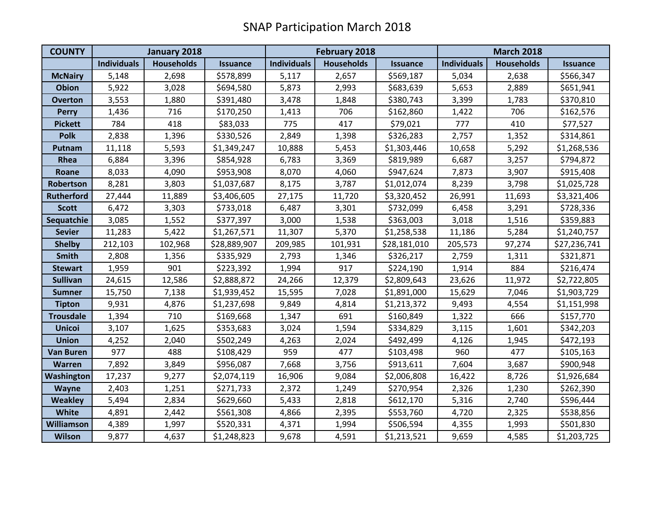| <b>COUNTY</b>     | January 2018       |                   |                 | <b>February 2018</b> |                   |                 | <b>March 2018</b>  |                   |                 |
|-------------------|--------------------|-------------------|-----------------|----------------------|-------------------|-----------------|--------------------|-------------------|-----------------|
|                   | <b>Individuals</b> | <b>Households</b> | <b>Issuance</b> | <b>Individuals</b>   | <b>Households</b> | <b>Issuance</b> | <b>Individuals</b> | <b>Households</b> | <b>Issuance</b> |
| <b>McNairy</b>    | 5,148              | 2,698             | \$578,899       | 5,117                | 2,657             | \$569,187       | 5,034              | 2,638             | \$566,347       |
| <b>Obion</b>      | 5,922              | 3,028             | \$694,580       | 5,873                | 2,993             | \$683,639       | 5,653              | 2,889             | \$651,941       |
| <b>Overton</b>    | 3,553              | 1,880             | \$391,480       | 3,478                | 1,848             | \$380,743       | 3,399              | 1,783             | \$370,810       |
| <b>Perry</b>      | 1,436              | 716               | \$170,250       | 1,413                | 706               | \$162,860       | 1,422              | 706               | \$162,576       |
| <b>Pickett</b>    | 784                | 418               | \$83,033        | 775                  | 417               | \$79,021        | 777                | 410               | \$77,527        |
| <b>Polk</b>       | 2,838              | 1,396             | \$330,526       | 2,849                | 1,398             | \$326,283       | 2,757              | 1,352             | \$314,861       |
| Putnam            | 11,118             | 5,593             | \$1,349,247     | 10,888               | 5,453             | \$1,303,446     | 10,658             | 5,292             | \$1,268,536     |
| Rhea              | 6,884              | 3,396             | \$854,928       | 6,783                | 3,369             | \$819,989       | 6,687              | 3,257             | \$794,872       |
| Roane             | 8,033              | 4,090             | \$953,908       | 8,070                | 4,060             | \$947,624       | 7,873              | 3,907             | \$915,408       |
| Robertson         | 8,281              | 3,803             | \$1,037,687     | 8,175                | 3,787             | \$1,012,074     | 8,239              | 3,798             | \$1,025,728     |
| <b>Rutherford</b> | 27,444             | 11,889            | \$3,406,605     | 27,175               | 11,720            | \$3,320,452     | 26,991             | 11,693            | \$3,321,406     |
| <b>Scott</b>      | 6,472              | 3,303             | \$733,018       | 6,487                | 3,301             | \$732,099       | 6,458              | 3,291             | \$728,336       |
| Sequatchie        | 3,085              | 1,552             | \$377,397       | 3,000                | 1,538             | \$363,003       | 3,018              | 1,516             | \$359,883       |
| <b>Sevier</b>     | 11,283             | 5,422             | \$1,267,571     | 11,307               | 5,370             | \$1,258,538     | 11,186             | 5,284             | \$1,240,757     |
| <b>Shelby</b>     | 212,103            | 102,968           | \$28,889,907    | 209,985              | 101,931           | \$28,181,010    | 205,573            | 97,274            | \$27,236,741    |
| <b>Smith</b>      | 2,808              | 1,356             | \$335,929       | 2,793                | 1,346             | \$326,217       | 2,759              | 1,311             | \$321,871       |
| <b>Stewart</b>    | 1,959              | 901               | \$223,392       | 1,994                | 917               | \$224,190       | 1,914              | 884               | \$216,474       |
| <b>Sullivan</b>   | 24,615             | 12,586            | \$2,888,872     | 24,266               | 12,379            | \$2,809,643     | 23,626             | 11,972            | \$2,722,805     |
| <b>Sumner</b>     | 15,750             | 7,138             | \$1,939,452     | 15,595               | 7,028             | \$1,891,000     | 15,629             | 7,046             | \$1,903,729     |
| <b>Tipton</b>     | 9,931              | 4,876             | \$1,237,698     | 9,849                | 4,814             | \$1,213,372     | 9,493              | 4,554             | \$1,151,998     |
| <b>Trousdale</b>  | 1,394              | 710               | \$169,668       | 1,347                | 691               | \$160,849       | 1,322              | 666               | \$157,770       |
| <b>Unicoi</b>     | 3,107              | 1,625             | \$353,683       | 3,024                | 1,594             | \$334,829       | 3,115              | 1,601             | \$342,203       |
| <b>Union</b>      | 4,252              | 2,040             | \$502,249       | 4,263                | 2,024             | \$492,499       | 4,126              | 1,945             | \$472,193       |
| <b>Van Buren</b>  | 977                | 488               | \$108,429       | 959                  | 477               | \$103,498       | 960                | 477               | \$105,163       |
| <b>Warren</b>     | 7,892              | 3,849             | \$956,087       | 7,668                | 3,756             | \$913,611       | 7,604              | 3,687             | \$900,948       |
| Washington        | 17,237             | 9,277             | \$2,074,119     | 16,906               | 9,084             | \$2,006,808     | 16,422             | 8,726             | \$1,926,684     |
| <b>Wayne</b>      | 2,403              | 1,251             | \$271,733       | 2,372                | 1,249             | \$270,954       | 2,326              | 1,230             | \$262,390       |
| <b>Weakley</b>    | 5,494              | 2,834             | \$629,660       | 5,433                | 2,818             | \$612,170       | 5,316              | 2,740             | \$596,444       |
| White             | 4,891              | 2,442             | \$561,308       | 4,866                | 2,395             | \$553,760       | 4,720              | 2,325             | \$538,856       |
| <b>Williamson</b> | 4,389              | 1,997             | \$520,331       | 4,371                | 1,994             | \$506,594       | 4,355              | 1,993             | \$501,830       |
| <b>Wilson</b>     | 9,877              | 4,637             | \$1,248,823     | 9,678                | 4,591             | \$1,213,521     | 9,659              | 4,585             | \$1,203,725     |